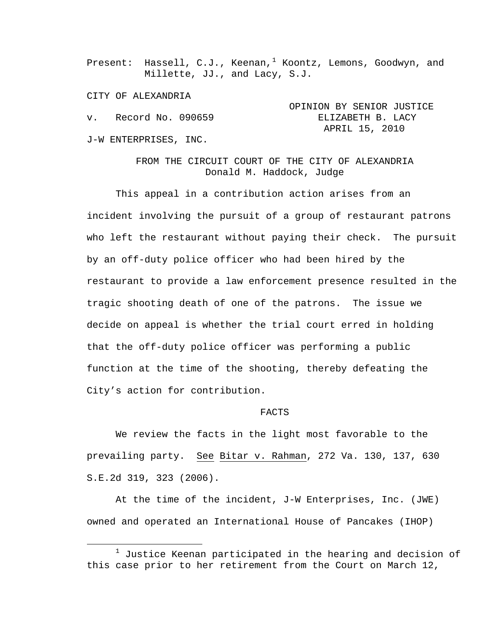Present: Hassell, C.J., Keenan,<sup>[1](#page-0-0)</sup> Koontz, Lemons, Goodwyn, and Millette, JJ., and Lacy, S.J.

CITY OF ALEXANDRIA

|                       | OPINION BY SENIOR JUSTICE |  |                   |  |
|-----------------------|---------------------------|--|-------------------|--|
| v. Record No. 090659  |                           |  | ELIZABETH B. LACY |  |
|                       | APRIL 15, 2010            |  |                   |  |
| J-W ENTERPRISES, INC. |                           |  |                   |  |

FROM THE CIRCUIT COURT OF THE CITY OF ALEXANDRIA Donald M. Haddock, Judge

This appeal in a contribution action arises from an incident involving the pursuit of a group of restaurant patrons who left the restaurant without paying their check. The pursuit by an off-duty police officer who had been hired by the restaurant to provide a law enforcement presence resulted in the tragic shooting death of one of the patrons. The issue we decide on appeal is whether the trial court erred in holding that the off-duty police officer was performing a public function at the time of the shooting, thereby defeating the City's action for contribution.

## FACTS

We review the facts in the light most favorable to the prevailing party. See Bitar v. Rahman, 272 Va. 130, 137, 630 S.E.2d 319, 323 (2006).

At the time of the incident, J-W Enterprises, Inc. (JWE) owned and operated an International House of Pancakes (IHOP)

<span id="page-0-0"></span><sup>&</sup>lt;u>1</u>  $1$  Justice Keenan participated in the hearing and decision of this case prior to her retirement from the Court on March 12,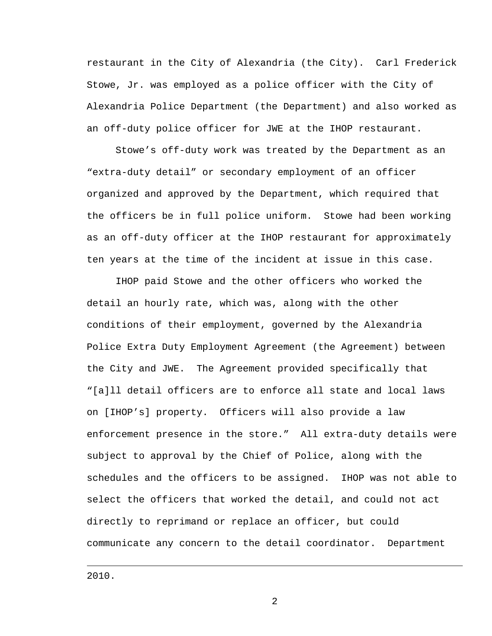restaurant in the City of Alexandria (the City). Carl Frederick Stowe, Jr. was employed as a police officer with the City of Alexandria Police Department (the Department) and also worked as an off-duty police officer for JWE at the IHOP restaurant.

Stowe's off-duty work was treated by the Department as an "extra-duty detail" or secondary employment of an officer organized and approved by the Department, which required that the officers be in full police uniform. Stowe had been working as an off-duty officer at the IHOP restaurant for approximately ten years at the time of the incident at issue in this case.

IHOP paid Stowe and the other officers who worked the detail an hourly rate, which was, along with the other conditions of their employment, governed by the Alexandria Police Extra Duty Employment Agreement (the Agreement) between the City and JWE. The Agreement provided specifically that "[a]ll detail officers are to enforce all state and local laws on [IHOP's] property. Officers will also provide a law enforcement presence in the store." All extra-duty details were subject to approval by the Chief of Police, along with the schedules and the officers to be assigned. IHOP was not able to select the officers that worked the detail, and could not act directly to reprimand or replace an officer, but could communicate any concern to the detail coordinator. Department

2010.

i<br>Li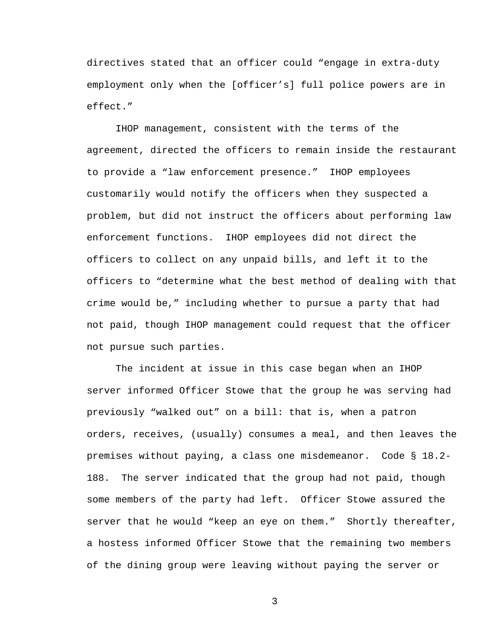directives stated that an officer could "engage in extra-duty employment only when the [officer's] full police powers are in effect."

IHOP management, consistent with the terms of the agreement, directed the officers to remain inside the restaurant to provide a "law enforcement presence." IHOP employees customarily would notify the officers when they suspected a problem, but did not instruct the officers about performing law enforcement functions. IHOP employees did not direct the officers to collect on any unpaid bills, and left it to the officers to "determine what the best method of dealing with that crime would be," including whether to pursue a party that had not paid, though IHOP management could request that the officer not pursue such parties.

The incident at issue in this case began when an IHOP server informed Officer Stowe that the group he was serving had previously "walked out" on a bill: that is, when a patron orders, receives, (usually) consumes a meal, and then leaves the premises without paying, a class one misdemeanor. Code § 18.2- 188. The server indicated that the group had not paid, though some members of the party had left. Officer Stowe assured the server that he would "keep an eye on them." Shortly thereafter, a hostess informed Officer Stowe that the remaining two members of the dining group were leaving without paying the server or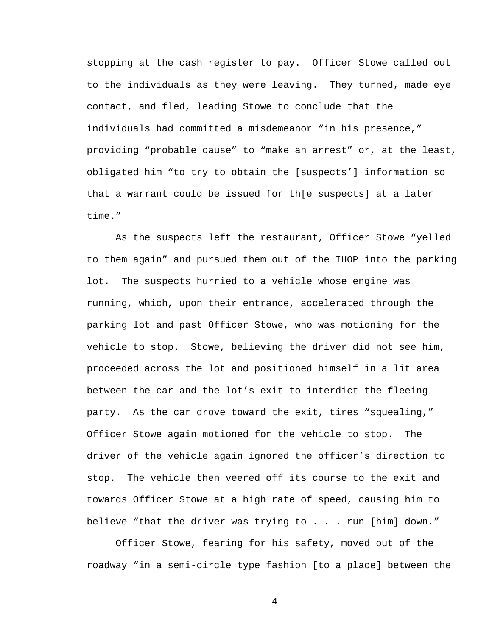stopping at the cash register to pay. Officer Stowe called out to the individuals as they were leaving. They turned, made eye contact, and fled, leading Stowe to conclude that the individuals had committed a misdemeanor "in his presence," providing "probable cause" to "make an arrest" or, at the least, obligated him "to try to obtain the [suspects'] information so that a warrant could be issued for th[e suspects] at a later time."

As the suspects left the restaurant, Officer Stowe "yelled to them again" and pursued them out of the IHOP into the parking lot. The suspects hurried to a vehicle whose engine was running, which, upon their entrance, accelerated through the parking lot and past Officer Stowe, who was motioning for the vehicle to stop. Stowe, believing the driver did not see him, proceeded across the lot and positioned himself in a lit area between the car and the lot's exit to interdict the fleeing party. As the car drove toward the exit, tires "squealing," Officer Stowe again motioned for the vehicle to stop. The driver of the vehicle again ignored the officer's direction to stop. The vehicle then veered off its course to the exit and towards Officer Stowe at a high rate of speed, causing him to believe "that the driver was trying to . . . run [him] down."

Officer Stowe, fearing for his safety, moved out of the roadway "in a semi-circle type fashion [to a place] between the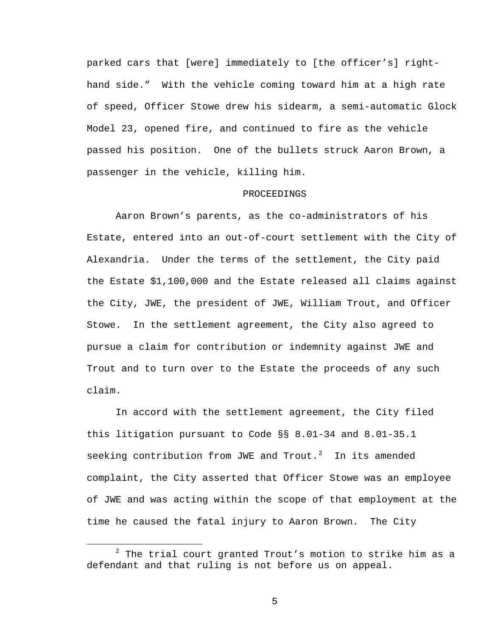parked cars that [were] immediately to [the officer's] righthand side." With the vehicle coming toward him at a high rate of speed, Officer Stowe drew his sidearm, a semi-automatic Glock Model 23, opened fire, and continued to fire as the vehicle passed his position. One of the bullets struck Aaron Brown, a passenger in the vehicle, killing him.

## PROCEEDINGS

Aaron Brown's parents, as the co-administrators of his Estate, entered into an out-of-court settlement with the City of Alexandria. Under the terms of the settlement, the City paid the Estate \$1,100,000 and the Estate released all claims against the City, JWE, the president of JWE, William Trout, and Officer Stowe. In the settlement agreement, the City also agreed to pursue a claim for contribution or indemnity against JWE and Trout and to turn over to the Estate the proceeds of any such claim.

In accord with the settlement agreement, the City filed this litigation pursuant to Code §§ 8.01-34 and 8.01-35.1 seeking contribution from JWE and Trout. $2$  In its amended complaint, the City asserted that Officer Stowe was an employee of JWE and was acting within the scope of that employment at the time he caused the fatal injury to Aaron Brown. The City

<span id="page-4-0"></span> <sup>2</sup>  $2$  The trial court granted Trout's motion to strike him as a defendant and that ruling is not before us on appeal.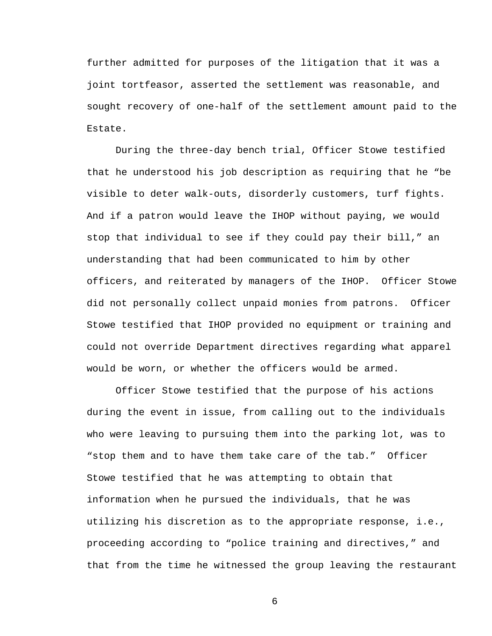further admitted for purposes of the litigation that it was a joint tortfeasor, asserted the settlement was reasonable, and sought recovery of one-half of the settlement amount paid to the Estate.

During the three-day bench trial, Officer Stowe testified that he understood his job description as requiring that he "be visible to deter walk-outs, disorderly customers, turf fights. And if a patron would leave the IHOP without paying, we would stop that individual to see if they could pay their bill," an understanding that had been communicated to him by other officers, and reiterated by managers of the IHOP. Officer Stowe did not personally collect unpaid monies from patrons. Officer Stowe testified that IHOP provided no equipment or training and could not override Department directives regarding what apparel would be worn, or whether the officers would be armed.

Officer Stowe testified that the purpose of his actions during the event in issue, from calling out to the individuals who were leaving to pursuing them into the parking lot, was to "stop them and to have them take care of the tab." Officer Stowe testified that he was attempting to obtain that information when he pursued the individuals, that he was utilizing his discretion as to the appropriate response, i.e., proceeding according to "police training and directives," and that from the time he witnessed the group leaving the restaurant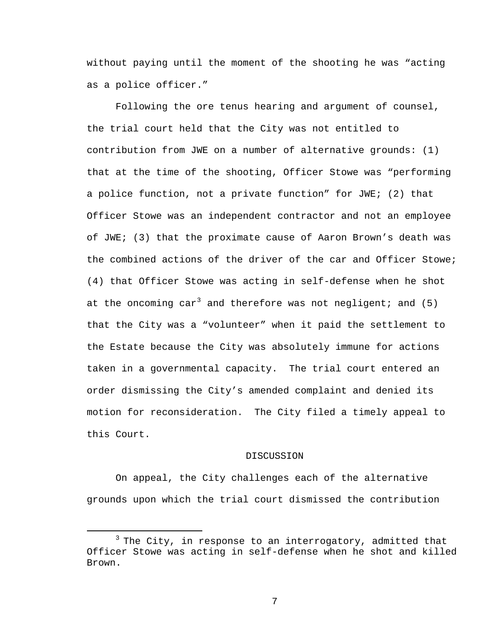without paying until the moment of the shooting he was "acting as a police officer."

Following the ore tenus hearing and argument of counsel, the trial court held that the City was not entitled to contribution from JWE on a number of alternative grounds: (1) that at the time of the shooting, Officer Stowe was "performing a police function, not a private function" for JWE; (2) that Officer Stowe was an independent contractor and not an employee of JWE; (3) that the proximate cause of Aaron Brown's death was the combined actions of the driver of the car and Officer Stowe; (4) that Officer Stowe was acting in self-defense when he shot at the oncoming car<sup>[3](#page-6-0)</sup> and therefore was not negligent; and (5) that the City was a "volunteer" when it paid the settlement to the Estate because the City was absolutely immune for actions taken in a governmental capacity. The trial court entered an order dismissing the City's amended complaint and denied its motion for reconsideration. The City filed a timely appeal to this Court.

## DISCUSSION

On appeal, the City challenges each of the alternative grounds upon which the trial court dismissed the contribution

<span id="page-6-0"></span> $3$  The City, in response to an interrogatory, admitted that Officer Stowe was acting in self-defense when he shot and killed Brown.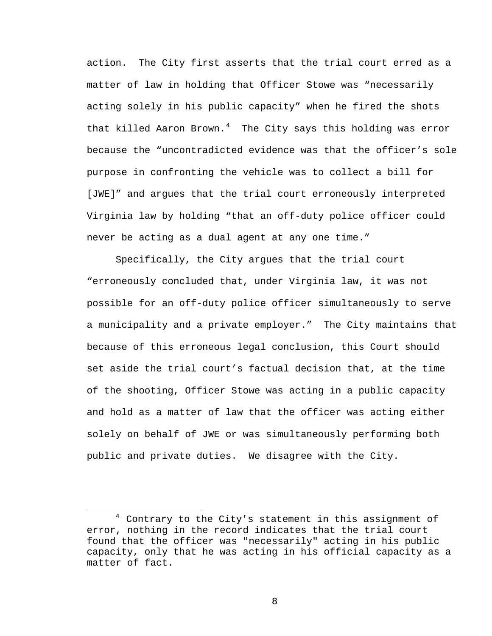action. The City first asserts that the trial court erred as a matter of law in holding that Officer Stowe was "necessarily acting solely in his public capacity" when he fired the shots that killed Aaron Brown.<sup>[4](#page-7-0)</sup> The City says this holding was error because the "uncontradicted evidence was that the officer's sole purpose in confronting the vehicle was to collect a bill for [JWE]" and argues that the trial court erroneously interpreted Virginia law by holding "that an off-duty police officer could never be acting as a dual agent at any one time."

Specifically, the City argues that the trial court "erroneously concluded that, under Virginia law, it was not possible for an off-duty police officer simultaneously to serve a municipality and a private employer." The City maintains that because of this erroneous legal conclusion, this Court should set aside the trial court's factual decision that, at the time of the shooting, Officer Stowe was acting in a public capacity and hold as a matter of law that the officer was acting either solely on behalf of JWE or was simultaneously performing both public and private duties. We disagree with the City.

i<br>Li

<span id="page-7-0"></span> $4$  Contrary to the City's statement in this assignment of error, nothing in the record indicates that the trial court found that the officer was "necessarily" acting in his public capacity, only that he was acting in his official capacity as a matter of fact.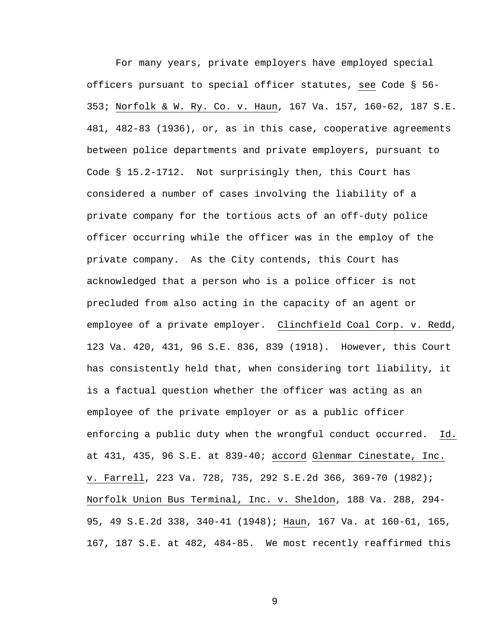For many years, private employers have employed special officers pursuant to special officer statutes, see Code § 56- 353; Norfolk & W. Ry. Co. v. Haun, 167 Va. 157, 160-62, 187 S.E. 481, 482-83 (1936), or, as in this case, cooperative agreements between police departments and private employers, pursuant to Code § 15.2-1712. Not surprisingly then, this Court has considered a number of cases involving the liability of a private company for the tortious acts of an off-duty police officer occurring while the officer was in the employ of the private company. As the City contends, this Court has acknowledged that a person who is a police officer is not precluded from also acting in the capacity of an agent or employee of a private employer. Clinchfield Coal Corp. v. Redd, 123 Va. 420, 431, 96 S.E. 836, 839 (1918). However, this Court has consistently held that, when considering tort liability, it is a factual question whether the officer was acting as an employee of the private employer or as a public officer enforcing a public duty when the wrongful conduct occurred. Id. at 431, 435, 96 S.E. at 839-40; accord Glenmar Cinestate, Inc. v. Farrell, 223 Va. 728, 735, 292 S.E.2d 366, 369-70 (1982); Norfolk Union Bus Terminal, Inc. v. Sheldon, 188 Va. 288, 294- 95, 49 S.E.2d 338, 340-41 (1948); Haun, 167 Va. at 160-61, 165, 167, 187 S.E. at 482, 484-85. We most recently reaffirmed this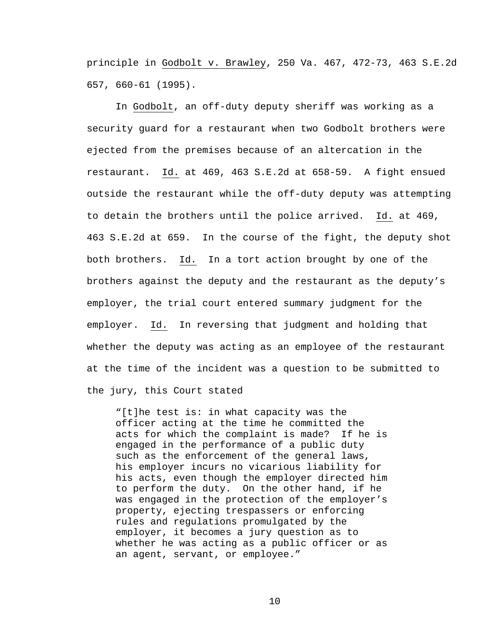principle in Godbolt v. Brawley, 250 Va. 467, 472-73, 463 S.E.2d 657, 660-61 (1995).

In Godbolt, an off-duty deputy sheriff was working as a security guard for a restaurant when two Godbolt brothers were ejected from the premises because of an altercation in the restaurant. Id. at 469, 463 S.E.2d at 658-59. A fight ensued outside the restaurant while the off-duty deputy was attempting to detain the brothers until the police arrived. Id. at 469, 463 S.E.2d at 659. In the course of the fight, the deputy shot both brothers. Id. In a tort action brought by one of the brothers against the deputy and the restaurant as the deputy's employer, the trial court entered summary judgment for the employer. Id. In reversing that judgment and holding that whether the deputy was acting as an employee of the restaurant at the time of the incident was a question to be submitted to the jury, this Court stated

"[t]he test is: in what capacity was the officer acting at the time he committed the acts for which the complaint is made? If he is engaged in the performance of a public duty such as the enforcement of the general laws, his employer incurs no vicarious liability for his acts, even though the employer directed him to perform the duty. On the other hand, if he was engaged in the protection of the employer's property, ejecting trespassers or enforcing rules and regulations promulgated by the employer, it becomes a jury question as to whether he was acting as a public officer or as an agent, servant, or employee."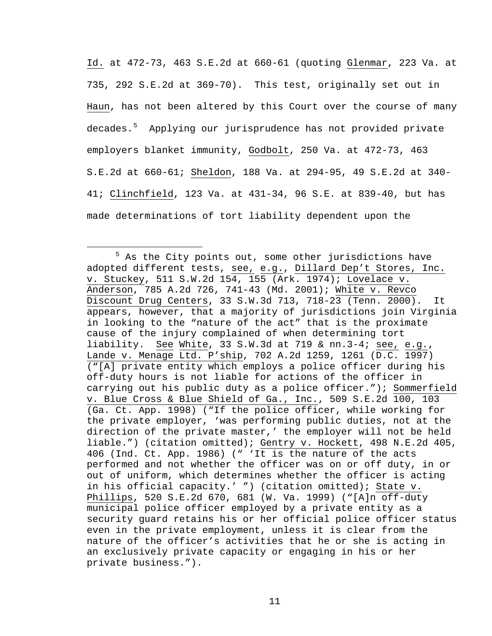Id. at 472-73, 463 S.E.2d at 660-61 (quoting Glenmar, 223 Va. at 735, 292 S.E.2d at 369-70). This test, originally set out in Haun, has not been altered by this Court over the course of many decades.<sup>[5](#page-10-0)</sup> Applying our jurisprudence has not provided private employers blanket immunity, Godbolt, 250 Va. at 472-73, 463 S.E.2d at 660-61; Sheldon, 188 Va. at 294-95, 49 S.E.2d at 340- 41; Clinchfield, 123 Va. at 431-34, 96 S.E. at 839-40, but has made determinations of tort liability dependent upon the

<span id="page-10-0"></span> $\frac{1}{5}$  $5$  As the City points out, some other jurisdictions have adopted different tests, see, e.g., Dillard Dep't Stores, Inc. v. Stuckey, 511 S.W.2d 154, 155 (Ark. 1974); Lovelace v. Anderson, 785 A.2d 726, 741-43 (Md. 2001); White v. Revco Discount Drug Centers, 33 S.W.3d 713, 718-23 (Tenn. 2000). It appears, however, that a majority of jurisdictions join Virginia in looking to the "nature of the act" that is the proximate cause of the injury complained of when determining tort liability. See White, 33 S.W.3d at 719 & nn.3-4; see, e.g., Lande v. Menage Ltd. P'ship, 702 A.2d 1259, 1261 (D.C. 1997) ("[A] private entity which employs a police officer during his off-duty hours is not liable for actions of the officer in carrying out his public duty as a police officer."); Sommerfield v. Blue Cross & Blue Shield of Ga., Inc., 509 S.E.2d 100, 103 (Ga. Ct. App. 1998) ("If the police officer, while working for the private employer, 'was performing public duties, not at the direction of the private master,' the employer will not be held liable.") (citation omitted); Gentry v. Hockett, 498 N.E.2d 405, 406 (Ind. Ct. App. 1986) (" 'It is the nature of the acts performed and not whether the officer was on or off duty, in or out of uniform, which determines whether the officer is acting in his official capacity.' ") (citation omitted); State v. Phillips, 520 S.E.2d 670, 681 (W. Va. 1999) ("[A]n off-duty municipal police officer employed by a private entity as a security guard retains his or her official police officer status even in the private employment, unless it is clear from the nature of the officer's activities that he or she is acting in an exclusively private capacity or engaging in his or her private business.").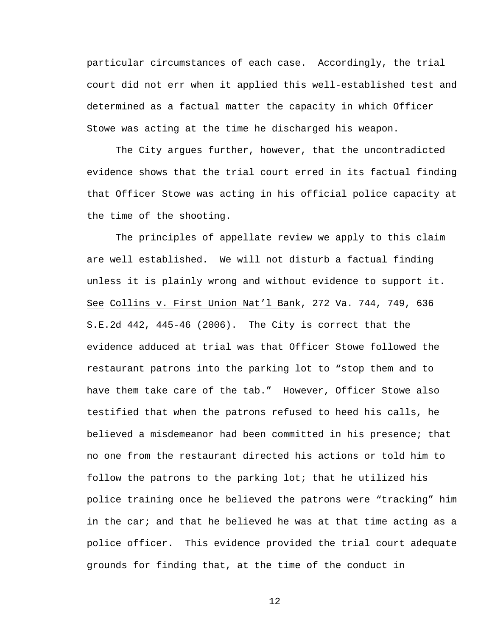particular circumstances of each case. Accordingly, the trial court did not err when it applied this well-established test and determined as a factual matter the capacity in which Officer Stowe was acting at the time he discharged his weapon.

The City argues further, however, that the uncontradicted evidence shows that the trial court erred in its factual finding that Officer Stowe was acting in his official police capacity at the time of the shooting.

The principles of appellate review we apply to this claim are well established. We will not disturb a factual finding unless it is plainly wrong and without evidence to support it. See Collins v. First Union Nat'l Bank, 272 Va. 744, 749, 636 S.E.2d 442, 445-46 (2006). The City is correct that the evidence adduced at trial was that Officer Stowe followed the restaurant patrons into the parking lot to "stop them and to have them take care of the tab." However, Officer Stowe also testified that when the patrons refused to heed his calls, he believed a misdemeanor had been committed in his presence; that no one from the restaurant directed his actions or told him to follow the patrons to the parking lot; that he utilized his police training once he believed the patrons were "tracking" him in the car; and that he believed he was at that time acting as a police officer. This evidence provided the trial court adequate grounds for finding that, at the time of the conduct in